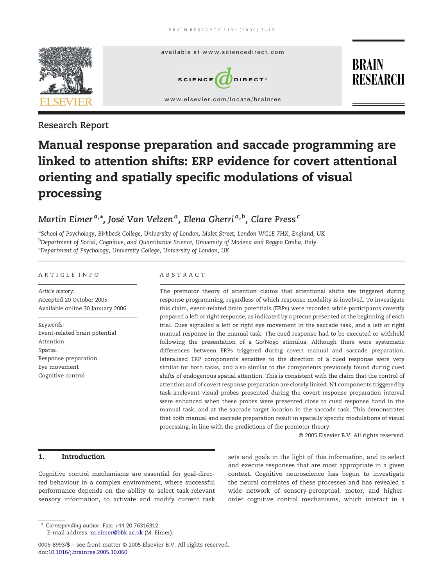

Research Report

# Manual response preparation and saccade programming are linked to attention shifts: ERP evidence for covert attentional orienting and spatially specific modulations of visual processing

## Martin Eimer<sup>a,</sup>\*, José Van Velzen<sup>a</sup>, Elena Gherri<sup>a,b</sup>, Clare Press<sup>c</sup>

aSchool of Psychology, Birkbeck College, University of London, Malet Street, London WC1E 7HX, England, UK <sup>b</sup>Department of Social, Cognitive, and Quantitative Science, University of Modena and Reggio Emilia, Italy <sup>c</sup>Department of Psychology, University College, University of London, UK

#### ARTICLE INFO ABSTRACT

Article history: Accepted 20 October 2005 Available online 30 January 2006

Keywords: Event-related brain potential Attention Spatial Response preparation Eye movement Cognitive control

The premotor theory of attention claims that attentional shifts are triggered during response programming, regardless of which response modality is involved. To investigate this claim, event-related brain potentials (ERPs) were recorded while participants covertly prepared a left or right response, as indicated by a precue presented at the beginning of each trial. Cues signalled a left or right eye movement in the saccade task, and a left or right manual response in the manual task. The cued response had to be executed or withheld following the presentation of a Go/Nogo stimulus. Although there were systematic differences between ERPs triggered during covert manual and saccade preparation, lateralised ERP components sensitive to the direction of a cued response were very similar for both tasks, and also similar to the components previously found during cued shifts of endogenous spatial attention. This is consistent with the claim that the control of attention and of covert response preparation are closely linked. N1 components triggered by task-irrelevant visual probes presented during the covert response preparation interval were enhanced when these probes were presented close to cued response hand in the manual task, and at the saccade target location in the saccade task. This demonstrates that both manual and saccade preparation result in spatially specific modulations of visual processing, in line with the predictions of the premotor theory.

© 2005 Elsevier B.V. All rights reserved.

### 1. Introduction

Cognitive control mechanisms are essential for goal-directed behaviour in a complex environment, where successful performance depends on the ability to select task-relevant sensory information, to activate and modify current task sets and goals in the light of this information, and to select and execute responses that are most appropriate in a given context. Cognitive neuroscience has begun to investigate the neural correlates of these processes and has revealed a wide network of sensory-perceptual, motor, and higherorder cognitive control mechanisms, which interact in a

⁎ Corresponding author. Fax: +44 20 76316312.

E-mail address: [m.eimer@bbk.ac.uk](mailto:m.eime r@bbk.ac.uk) (M. Eimer).

<sup>0006-8993/\$</sup> – see front matter © 2005 Elsevier B.V. All rights reserved. doi:[10.1016/j.brainres.2005.10.060](http://dx.doi.org/10.1016/j.brainr es.2005.10.06 0)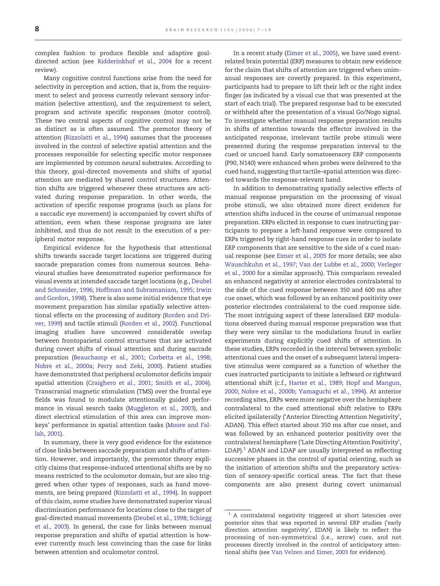complex fashion to produce flexible and adaptive goaldirected action (see [Ridderinkhof et al., 2004](#page-12-0) for a recent review).

Many cognitive control functions arise from the need for selectivity in perception and action, that is, from the requirement to select and process currently relevant sensory information (selective attention), and the requirement to select, program and activate specific responses (motor control). These two central aspects of cognitive control may not be as distinct as is often assumed. The premotor theory of attention ([Rizzolatti et al., 1994\)](#page-12-0) assumes that the processes involved in the control of selective spatial attention and the processes responsible for selecting specific motor responses are implemented by common neural substrates. According to this theory, goal-directed movements and shifts of spatial attention are mediated by shared control structures. Attention shifts are triggered whenever these structures are activated during response preparation. In other words, the activation of specific response programs (such as plans for a saccadic eye movement) is accompanied by covert shifts of attention, even when these response programs are later inhibited, and thus do not result in the execution of a peripheral motor response.

Empirical evidence for the hypothesis that attentional shifts towards saccade target locations are triggered during saccade preparation comes from numerous sources. Behavioural studies have demonstrated superior performance for visual events at intended saccade target locations (e.g., [Deubel](#page-11-0) [and Schneider, 1996; Hoffman and Subramaniam, 1995; Irwin](#page-11-0) [and Gordon, 1998](#page-11-0)). There is also some initial evidence that eye movement preparation has similar spatially selective attentional effects on the processing of auditory ([Rorden and Dri](#page-12-0)[ver, 1999](#page-12-0)) and tactile stimuli ([Rorden et al., 2002](#page-12-0)). Functional imaging studies have uncovered considerable overlap between frontoparietal control structures that are activated during covert shifts of visual attention and during saccade preparation ([Beauchamp et al., 2001; Corbetta et al., 1998;](#page-11-0) [Nobre et al., 2000a; Perry and Zeki, 2000](#page-11-0)). Patient studies have demonstrated that peripheral oculomotor deficits impair spatial attention [\(Craighero et al., 2001; Smith et al., 2004\)](#page-11-0). Transcranial magnetic stimulation (TMS) over the frontal eye fields was found to modulate attentionally guided performance in visual search tasks [\(Muggleton et al., 2003\)](#page-12-0), and direct electrical stimulation of this area can improve monkeys' performance in spatial attention tasks ([Moore and Fal](#page-12-0)[lah, 2001\)](#page-12-0).

In summary, there is very good evidence for the existence of close links between saccade preparation and shifts of attention. However, and importantly, the premotor theory explicitly claims that response-induced attentional shifts are by no means restricted to the oculomotor domain, but are also triggered when other types of responses, such as hand movements, are being prepared [\(Rizzolatti et al., 1994\)](#page-12-0). In support of this claim, some studies have demonstrated superior visual discrimination performance for locations close to the target of goal-directed manual movements [\(Deubel et al., 1998; Schiegg](#page-11-0) [et al., 2003\)](#page-11-0). In general, the case for links between manual response preparation and shifts of spatial attention is however currently much less convincing than the case for links between attention and oculomotor control.

In a recent study ([Eimer et al., 2005\)](#page-11-0), we have used eventrelated brain potential (ERP) measures to obtain new evidence for the claim that shifts of attention are triggered when unimanual responses are covertly prepared. In this experiment, participants had to prepare to lift their left or the right index finger (as indicated by a visual cue that was presented at the start of each trial). The prepared response had to be executed or withheld after the presentation of a visual Go/Nogo signal. To investigate whether manual response preparation results in shifts of attention towards the effector involved in the anticipated response, irrelevant tactile probe stimuli were presented during the response preparation interval to the cued or uncued hand. Early somatosensory ERP components (P90, N140) were enhanced when probes were delivered to the cued hand, suggesting that tactile–spatial attention was directed towards the response-relevant hand.

In addition to demonstrating spatially selective effects of manual response preparation on the processing of visual probe stimuli, we also obtained more direct evidence for attention shifts induced in the course of unimanual response preparation. ERPs elicited in response to cues instructing participants to prepare a left-hand response were compared to ERPs triggered by right-hand response cues in order to isolate ERP components that are sensitive to the side of a cued manual response (see [Eimer et al., 2005](#page-11-0) for more details; see also [Wauschkuhn et al., 1997; Van der Lubbe et al., 2000; Verleger](#page-12-0) [et al., 2000](#page-12-0) for a similar approach). This comparison revealed an enhanced negativity at anterior electrodes contralateral to the side of the cued response between 350 and 600 ms after cue onset, which was followed by an enhanced positivity over posterior electrodes contralateral to the cued response side. The most intriguing aspect of these lateralised ERP modulations observed during manual response preparation was that they were very similar to the modulations found in earlier experiments during explicitly cued shifts of attention. In these studies, ERPs recorded in the interval between symbolic attentional cues and the onset of a subsequent lateral imperative stimulus were compared as a function of whether the cues instructed participants to initiate a leftward or rightward attentional shift (c.f., [Harter et al., 1989; Hopf and Mangun,](#page-12-0) [2000; Nobre et al., 2000b; Yamaguchi et al., 1994](#page-12-0)). At anterior recording sites, ERPs were more negative over the hemisphere contralateral to the cued attentional shift relative to ERPs elicited ipsilaterally ('Anterior Directing Attention Negativity', ADAN). This effect started about 350 ms after cue onset, and was followed by an enhanced posterior positivity over the contralateral hemisphere ('Late Directing Attention Positivity', LDAP).<sup>1</sup> ADAN and LDAP are usually interpreted as reflecting successive phases in the control of spatial orienting, such as the initiation of attention shifts and the preparatory activation of sensory-specific cortical areas. The fact that these components are also present during covert unimanual

 $^{\rm 1}$  A contralateral negativity triggered at short latencies over posterior sites that was reported in several ERP studies ('early direction attention negativity', EDAN) is likely to reflect the processing of non-symmetrical (i.e., arrow) cues, and not processes directly involved in the control of anticipatory attentional shifts (see [Van Velzen and Eimer, 2003](#page-12-0) for evidence).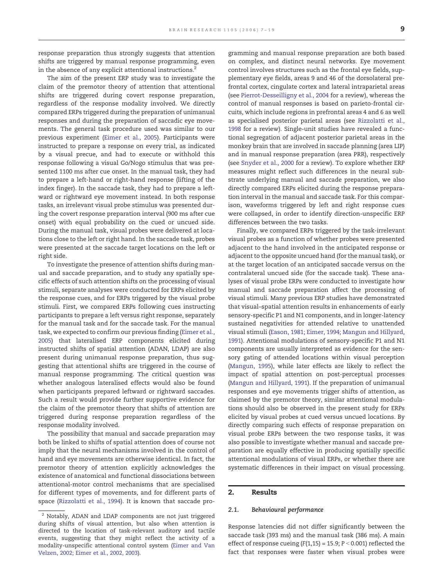response preparation thus strongly suggests that attention shifts are triggered by manual response programming, even in the absence of any explicit attentional instructions.<sup>2</sup>

The aim of the present ERP study was to investigate the claim of the premotor theory of attention that attentional shifts are triggered during covert response preparation, regardless of the response modality involved. We directly compared ERPs triggered during the preparation of unimanual responses and during the preparation of saccadic eye movements. The general task procedure used was similar to our previous experiment [\(Eimer et al., 2005\)](#page-11-0). Participants were instructed to prepare a response on every trial, as indicated by a visual precue, and had to execute or withhold this response following a visual Go/Nogo stimulus that was presented 1100 ms after cue onset. In the manual task, they had to prepare a left-hand or right-hand response (lifting of the index finger). In the saccade task, they had to prepare a leftward or rightward eye movement instead. In both response tasks, an irrelevant visual probe stimulus was presented during the covert response preparation interval (900 ms after cue onset) with equal probability on the cued or uncued side. During the manual task, visual probes were delivered at locations close to the left or right hand. In the saccade task, probes were presented at the saccade target locations on the left or right side.

To investigate the presence of attention shifts during manual and saccade preparation, and to study any spatially specific effects of such attention shifts on the processing of visual stimuli, separate analyses were conducted for ERPs elicited by the response cues, and for ERPs triggered by the visual probe stimuli. First, we compared ERPs following cues instructing participants to prepare a left versus right response, separately for the manual task and for the saccade task. For the manual task, we expected to confirm our previous finding ([Eimer et al.,](#page-11-0) [2005](#page-11-0)) that lateralised ERP components elicited during instructed shifts of spatial attention (ADAN, LDAP) are also present during unimanual response preparation, thus suggesting that attentional shifts are triggered in the course of manual response programming. The critical question was whether analogous lateralised effects would also be found when participants prepared leftward or rightward saccades. Such a result would provide further supportive evidence for the claim of the premotor theory that shifts of attention are triggered during response preparation regardless of the response modality involved.

The possibility that manual and saccade preparation may both be linked to shifts of spatial attention does of course not imply that the neural mechanisms involved in the control of hand and eye movements are otherwise identical. In fact, the premotor theory of attention explicitly acknowledges the existence of anatomical and functional dissociations between attentional-motor control mechanisms that are specialised for different types of movements, and for different parts of space ([Rizzolatti et al., 1994](#page-12-0)). It is known that saccade pro-

<sup>2</sup> Notably, ADAN and LDAP components are not just triggered during shifts of visual attention, but also when attention is directed to the location of task-relevant auditory and tactile events, suggesting that they might reflect the activity of a modality-unspecific attentional control system (Eimer and Van Velzen, 2002; Eimer et al., 2002, 2003).

gramming and manual response preparation are both based on complex, and distinct neural networks. Eye movement control involves structures such as the frontal eye fields, supplementary eye fields, areas 9 and 46 of the dorsolateral prefrontal cortex, cingulate cortex and lateral intraparietal areas (see [Pierrot-Desseilligny et al., 2004](#page-12-0) for a review), whereas the control of manual responses is based on parieto-frontal circuits, which include regions in prefrontal areas 4 and 6 as well as specialised posterior parietal areas (see [Rizzolatti et al.,](#page-12-0) [1998](#page-12-0) for a review). Single-unit studies have revealed a functional segregation of adjacent posterior parietal areas in the monkey brain that are involved in saccade planning (area LIP) and in manual response preparation (area PRR), respectively (see [Snyder et al., 2000](#page-12-0) for a review). To explore whether ERP measures might reflect such differences in the neural substrate underlying manual and saccade preparation, we also directly compared ERPs elicited during the response preparation interval in the manual and saccade task. For this comparison, waveforms triggered by left and right response cues were collapsed, in order to identify direction-unspecific ERP differences between the two tasks.

Finally, we compared ERPs triggered by the task-irrelevant visual probes as a function of whether probes were presented adjacent to the hand involved in the anticipated response or adjacent to the opposite uncued hand (for the manual task), or at the target location of an anticipated saccade versus on the contralateral uncued side (for the saccade task). These analyses of visual probe ERPs were conducted to investigate how manual and saccade preparation affect the processing of visual stimuli. Many previous ERP studies have demonstrated that visual–spatial attention results in enhancements of early sensory-specific P1 and N1 components, and in longer-latency sustained negativities for attended relative to unattended visual stimuli [\(Eason, 1981; Eimer, 1994; Mangun and Hillyard,](#page-11-0) [1991](#page-11-0)). Attentional modulations of sensory-specific P1 and N1 components are usually interpreted as evidence for the sensory gating of attended locations within visual perception [\(Mangun, 1995](#page-12-0)), while later effects are likely to reflect the impact of spatial attention on post-perceptual processes [\(Mangun and Hillyard, 1991](#page-12-0)). If the preparation of unimanual responses and eye movements trigger shifts of attention, as claimed by the premotor theory, similar attentional modulations should also be observed in the present study for ERPs elicited by visual probes at cued versus uncued locations. By directly comparing such effects of response preparation on visual probe ERPs between the two response tasks, it was also possible to investigate whether manual and saccade preparation are equally effective in producing spatially specific attentional modulations of visual ERPs, or whether there are systematic differences in their impact on visual processing.

#### 2. Results

#### 2.1. Behavioural performance

Response latencies did not differ significantly between the saccade task (393 ms) and the manual task (386 ms). A main effect of response cueing (F(1,15) = 15.9;  $P < 0.001$ ) reflected the fact that responses were faster when visual probes were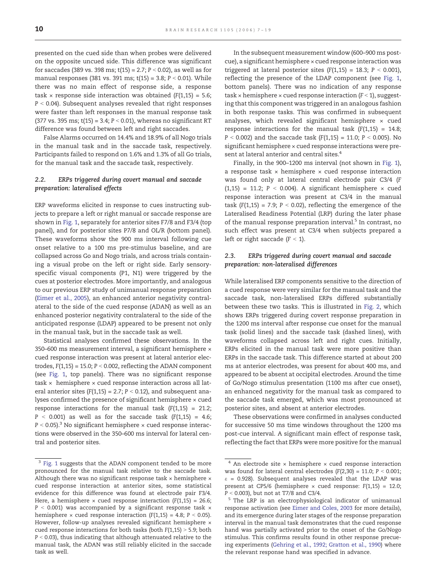presented on the cued side than when probes were delivered on the opposite uncued side. This difference was significant for saccades (389 vs. 398 ms;  $t(15) = 2.7$ ;  $P < 0.02$ ), as well as for manual responses (381 vs. 391 ms;  $t(15) = 3.8$ ;  $P < 0.01$ ). While there was no main effect of response side, a response task  $\times$  response side interaction was obtained (F(1,15) = 5.6;  $P < 0.04$ ). Subsequent analyses revealed that right responses were faster than left responses in the manual response task (377 vs. 395 ms;  $t(15) = 3.4$ ;  $P < 0.01$ ), whereas no significant RT difference was found between left and right saccades.

False Alarms occurred on 14.4% and 18.9% of all Nogo trials in the manual task and in the saccade task, respectively. Participants failed to respond on 1.6% and 1.3% of all Go trials, for the manual task and the saccade task, respectively.

#### 2.2. ERPs triggered during covert manual and saccade preparation: lateralised effects

ERP waveforms elicited in response to cues instructing subjects to prepare a left or right manual or saccade response are shown in [Fig. 1](#page-5-0), separately for anterior sites F7/8 and F3/4 (top panel), and for posterior sites P7/8 and OL/R (bottom panel). These waveforms show the 900 ms interval following cue onset relative to a 100 ms pre-stimulus baseline, and are collapsed across Go and Nogo trials, and across trials containing a visual probe on the left or right side. Early sensoryspecific visual components (P1, N1) were triggered by the cues at posterior electrodes. More importantly, and analogous to our previous ERP study of unimanual response preparation ([Eimer et al., 2005\)](#page-11-0), an enhanced anterior negativity contralateral to the side of the cued response (ADAN) as well as an enhanced posterior negativity contralateral to the side of the anticipated response (LDAP) appeared to be present not only in the manual task, but in the saccade task as well.

Statistical analyses confirmed these observations. In the 350–600 ms measurement interval, a significant hemisphere × cued response interaction was present at lateral anterior electrodes,  $F(1,15) = 15.0; P < 0.002$ , reflecting the ADAN component (see [Fig. 1,](#page-5-0) top panels). There was no significant response  $task \times hemisphere \times cued$  response interaction across all lateral anterior sites ( $F(1,15) = 2.7$ ;  $P < 0.12$ ), and subsequent analyses confirmed the presence of significant hemisphere × cued response interactions for the manual task  $(F(1,15) = 21.2;$  $P < 0.001$ ) as well as for the saccade task (F(1,15) = 4.6;  $P < 0.05$ ).<sup>3</sup> No significant hemisphere  $\times$  cued response interactions were observed in the 350–600 ms interval for lateral central and posterior sites.

In the subsequent measurement window (600–900 ms postcue), a significant hemisphere × cued response interaction was triggered at lateral posterior sites  $(F(1,15) = 18.3; P < 0.001)$ , reflecting the presence of the LDAP component (see [Fig. 1](#page-5-0), bottom panels). There was no indication of any response task  $\times$  hemisphere  $\times$  cued response interaction ( $F < 1$ ), suggesting that this component was triggered in an analogous fashion in both response tasks. This was confirmed in subsequent analyses, which revealed significant hemisphere  $\times$  cued response interactions for the manual task  $(F(1,15) = 14.8;$  $P < 0.002$ ) and the saccade task (F(1,15) = 11.0; P < 0.005). No significant hemisphere × cued response interactions were present at lateral anterior and central sites.<sup>4</sup>

Finally, in the 900–1200 ms interval (not shown in [Fig. 1\)](#page-5-0), a response task  $\times$  hemisphere  $\times$  cued response interaction was found only at lateral central electrode pair C3/4 (F (1,15) = 11.2;  $P < 0.004$ ). A significant hemisphere  $\times$  cued response interaction was present at C3/4 in the manual task  $(F(1,15) = 7.9; P < 0.02)$ , reflecting the emergence of the Lateralised Readiness Potential (LRP) during the later phase of the manual response preparation interval.<sup>5</sup> In contrast, no such effect was present at C3/4 when subjects prepared a left or right saccade  $(F < 1)$ .

#### 2.3. ERPs triggered during covert manual and saccade preparation: non-lateralised differences

While lateralised ERP components sensitive to the direction of a cued response were very similar for the manual task and the saccade task, non-lateralised ERPs differed substantially between these two tasks. This is illustrated in [Fig. 2,](#page-6-0) which shows ERPs triggered during covert response preparation in the 1200 ms interval after response cue onset for the manual task (solid lines) and the saccade task (dashed lines), with waveforms collapsed across left and right cues. Initially, ERPs elicited in the manual task were more positive than ERPs in the saccade task. This difference started at about 200 ms at anterior electrodes, was present for about 400 ms, and appeared to be absent at occipital electrodes. Around the time of Go/Nogo stimulus presentation (1100 ms after cue onset), an enhanced negativity for the manual task as compared to the saccade task emerged, which was most pronounced at posterior sites, and absent at anterior electrodes.

These observations were confirmed in analyses conducted for successive 50 ms time windows throughout the 1200 ms post-cue interval. A significant main effect of response task, reflecting the fact that ERPs were more positive for the manual

[Fig. 1](#page-5-0) suggests that the ADAN component tended to be more pronounced for the manual task relative to the saccade task. Although there was no significant response task  $\times$  hemisphere  $\times$ cued response interaction at anterior sites, some statistical evidence for this difference was found at electrode pair F3/4. Here, a hemisphere  $\times$  cued response interaction (F(1,15) = 26.6;  $P < 0.001$ ) was accompanied by a significant response task  $\times$ hemisphere  $\times$  cued response interaction (F(1,15) = 4.8; P < 0.05). However, follow-up analyses revealed significant hemisphere  $\times$ cued response interactions for both tasks (both  $F(1,15) > 5.9$ ; both  $P < 0.03$ ), thus indicating that although attenuated relative to the manual task, the ADAN was still reliably elicited in the saccade task as well.

 $^4$  An electrode site  $\times$  hemisphere  $\times$  cued response interaction was found for lateral central electrodes  $(F(2,30) = 11.0; P < 0.001;$  $\varepsilon$  = 0.928). Subsequent analyses revealed that the LDAP was present at CP5/6 (hemisphere  $\times$  cued response:  $F(1,15) = 12.0$ ;  $P < 0.003$ ), but not at T7/8 and C3/4.

<sup>&</sup>lt;sup>5</sup> The LRP is an electrophysiological indicator of unimanual response activation (see [Eimer and Coles, 2003](#page-11-0) for more details), and its emergence during later stages of the response preparation interval in the manual task demonstrates that the cued response hand was partially activated prior to the onset of the Go/Nogo stimulus. This confirms results found in other response precueing experiments [\(Gehring et al., 1992; Gratton et al., 1990\)](#page-11-0) where the relevant response hand was specified in advance.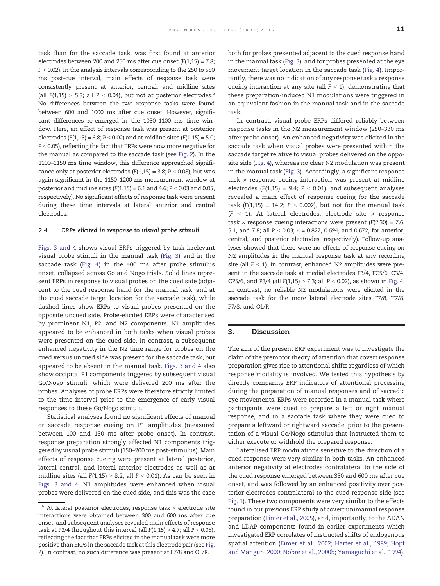task than for the saccade task, was first found at anterior electrodes between 200 and 250 ms after cue onset  $(F(1,15) = 7.8;$  $P < 0.02$ ). In the analysis intervals corresponding to the 250 to 550 ms post-cue interval, main effects of response task were consistently present at anterior, central, and midline sites (all  $F(1,15) > 5.3$ ; all  $P < 0.04$ ), but not at posterior electrodes.<sup>6</sup> No differences between the two response tasks were found between 600 and 1000 ms after cue onset. However, significant differences re-emerged in the 1050–1100 ms time window. Here, an effect of response task was present at posterior electrodes ( $F(1,15) = 6.8; P < 0.02$ ) and at midline sites ( $F(1,15) = 5.0;$  $P < 0.05$ ), reflecting the fact that ERPs were now more negative for the manual as compared to the saccade task (see [Fig. 2](#page-6-0)). In the 1100–1150 ms time window, this difference approached significance only at posterior electrodes  $(F(1,15) = 3.8; P < 0.08)$ , but was again significant in the 1150–1200 ms measurement window at posterior and midline sites  $(F(1,15) = 6.1$  and  $4.6; P < 0.03$  and 0.05, respectively). No significant effects of response task were present during these time intervals at lateral anterior and central electrodes.

#### 2.4. ERPs elicited in response to visual probe stimuli

[Figs. 3 and 4](#page-7-0) shows visual ERPs triggered by task-irrelevant visual probe stimuli in the manual task [\(Fig. 3\)](#page-7-0) and in the saccade task [\(Fig. 4\)](#page-8-0) in the 400 ms after probe stimulus onset, collapsed across Go and Nogo trials. Solid lines represent ERPs in response to visual probes on the cued side (adjacent to the cued response hand for the manual task, and at the cued saccade target location for the saccade task), while dashed lines show ERPs to visual probes presented on the opposite uncued side. Probe-elicited ERPs were characterised by prominent N1, P2, and N2 components. N1 amplitudes appeared to be enhanced in both tasks when visual probes were presented on the cued side. In contrast, a subsequent enhanced negativity in the N2 time range for probes on the cued versus uncued side was present for the saccade task, but appeared to be absent in the manual task. [Figs. 3 and 4](#page-7-0) also show occipital P1 components triggered by subsequent visual Go/Nogo stimuli, which were delivered 200 ms after the probes. Analyses of probe ERPs were therefore strictly limited to the time interval prior to the emergence of early visual responses to these Go/Nogo stimuli.

Statistical analyses found no significant effects of manual or saccade response cueing on P1 amplitudes (measured between 100 and 130 ms after probe onset). In contrast, response preparation strongly affected N1 components triggered by visual probe stimuli (150–200 ms post-stimulus). Main effects of response cueing were present at lateral posterior, lateral central, and lateral anterior electrodes as well as at midline sites (all  $F(1,15) > 8.2$ ; all  $P < 0.01$ ). As can be seen in [Figs. 3 and 4,](#page-7-0) N1 amplitudes were enhanced when visual probes were delivered on the cued side, and this was the case

both for probes presented adjacent to the cued response hand in the manual task ([Fig. 3\)](#page-7-0), and for probes presented at the eye movement target location in the saccade task ([Fig. 4\)](#page-8-0). Importantly, there was no indication of any response task × response cueing interaction at any site (all  $F < 1$ ), demonstrating that these preparation-induced N1 modulations were triggered in an equivalent fashion in the manual task and in the saccade task.

In contrast, visual probe ERPs differed reliably between response tasks in the N2 measurement window (250–330 ms after probe onset). An enhanced negativity was elicited in the saccade task when visual probes were presented within the saccade target relative to visual probes delivered on the opposite side [\(Fig. 4](#page-8-0)), whereas no clear N2 modulation was present in the manual task [\(Fig. 3](#page-7-0)). Accordingly, a significant response  $task \times response$  cueing interaction was present at midline electrodes ( $F(1,15) = 9.4$ ;  $P < 0.01$ ), and subsequent analyses revealed a main effect of response cueing for the saccade task  $(F(1,15) = 14.2; P < 0.002)$ , but not for the manual task  $(F < 1)$ . At lateral electrodes, electrode site  $\times$  response task  $\times$  response cueing interactions were present (F(2,30) = 7.6, 5.1, and 7.8; all  $P < 0.03$ ;  $\varepsilon = 0.827$ , 0.694, and 0.672, for anterior, central, and posterior electrodes, respectively). Follow-up analyses showed that there were no effects of response cueing on N2 amplitudes in the manual response task at any recording site (all  $F < 1$ ). In contrast, enhanced N2 amplitudes were present in the saccade task at medial electrodes F3/4, FC5/6, C3/4, CP5/6, and P3/4 (all  $F(1,15) > 7.3$ ; all  $P < 0.02$ ), as shown in [Fig. 4.](#page-8-0) In contrast, no reliable N2 modulations were elicited in the saccade task for the more lateral electrode sites F7/8, T7/8, P7/8, and OL/R.

#### 3. Discussion

The aim of the present ERP experiment was to investigate the claim of the premotor theory of attention that covert response preparation gives rise to attentional shifts regardless of which response modality is involved. We tested this hypothesis by directly comparing ERP indicators of attentional processing during the preparation of manual responses and of saccadic eye movements. ERPs were recorded in a manual task where participants were cued to prepare a left or right manual response, and in a saccade task where they were cued to prepare a leftward or rightward saccade, prior to the presentation of a visual Go/Nogo stimulus that instructed them to either execute or withhold the prepared response.

Lateralised ERP modulations sensitive to the direction of a cued response were very similar in both tasks. An enhanced anterior negativity at electrodes contralateral to the side of the cued response emerged between 350 and 600 ms after cue onset, and was followed by an enhanced positivity over posterior electrodes contralateral to the cued response side (see [Fig. 1\)](#page-5-0). These two components were very similar to the effects found in our previous ERP study of covert unimanual response preparation ([Eimer et al., 2005\)](#page-11-0), and, importantly, to the ADAN and LDAP components found in earlier experiments which investigated ERP correlates of instructed shifts of endogenous spatial attention ([Eimer et al., 2002; Harter et al., 1989; Hopf](#page-11-0) [and Mangun, 2000; Nobre et al., 2000b; Yamaguchi et al., 1994](#page-11-0)).

 $6$  At lateral posterior electrodes, response task  $\times$  electrode site interactions were obtained between 300 and 600 ms after cue onset, and subsequent analyses revealed main effects of response task at P3/4 throughout this interval (all  $F(1,15) > 4.7$ ; all  $P < 0.05$ ), reflecting the fact that ERPs elicited in the manual task were more positive than ERPs in the saccade task at this electrode pair (see [Fig.](#page-6-0) [2](#page-6-0)). In contrast, no such difference was present at P7/8 and OL/R.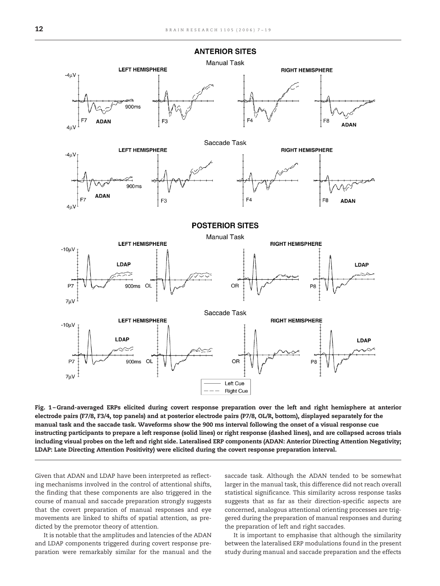#### **ANTERIOR SITES**

<span id="page-5-0"></span>

Fig. 1 – Grand-averaged ERPs elicited during covert response preparation over the left and right hemisphere at anterior electrode pairs (F7/8, F3/4, top panels) and at posterior electrode pairs (P7/8, OL/R, bottom), displayed separately for the manual task and the saccade task. Waveforms show the 900 ms interval following the onset of a visual response cue instructing participants to prepare a left response (solid lines) or right response (dashed lines), and are collapsed across trials including visual probes on the left and right side. Lateralised ERP components (ADAN: Anterior Directing Attention Negativity; LDAP: Late Directing Attention Positivity) were elicited during the covert response preparation interval.

Given that ADAN and LDAP have been interpreted as reflecting mechanisms involved in the control of attentional shifts, the finding that these components are also triggered in the course of manual and saccade preparation strongly suggests that the covert preparation of manual responses and eye movements are linked to shifts of spatial attention, as predicted by the premotor theory of attention.

It is notable that the amplitudes and latencies of the ADAN and LDAP components triggered during covert response preparation were remarkably similar for the manual and the saccade task. Although the ADAN tended to be somewhat larger in the manual task, this difference did not reach overall statistical significance. This similarity across response tasks suggests that as far as their direction-specific aspects are concerned, analogous attentional orienting processes are triggered during the preparation of manual responses and during the preparation of left and right saccades.

It is important to emphasise that although the similarity between the lateralised ERP modulations found in the present study during manual and saccade preparation and the effects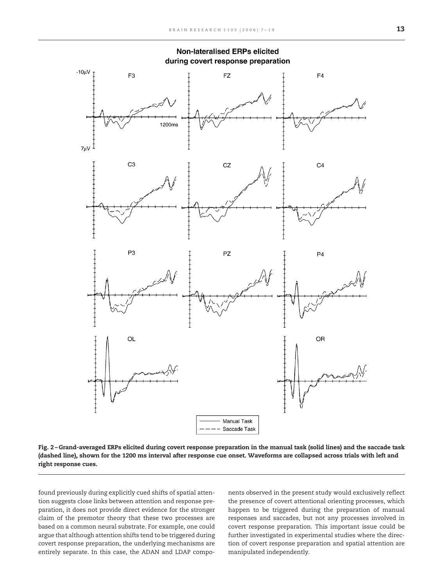<span id="page-6-0"></span>

Fig. 2 – Grand-averaged ERPs elicited during covert response preparation in the manual task (solid lines) and the saccade task (dashed line), shown for the 1200 ms interval after response cue onset. Waveforms are collapsed across trials with left and right response cues.

found previously during explicitly cued shifts of spatial attention suggests close links between attention and response preparation, it does not provide direct evidence for the stronger claim of the premotor theory that these two processes are based on a common neural substrate. For example, one could argue that although attention shifts tend to be triggered during covert response preparation, the underlying mechanisms are entirely separate. In this case, the ADAN and LDAP components observed in the present study would exclusively reflect the presence of covert attentional orienting processes, which happen to be triggered during the preparation of manual responses and saccades, but not any processes involved in covert response preparation. This important issue could be further investigated in experimental studies where the direction of covert response preparation and spatial attention are manipulated independently.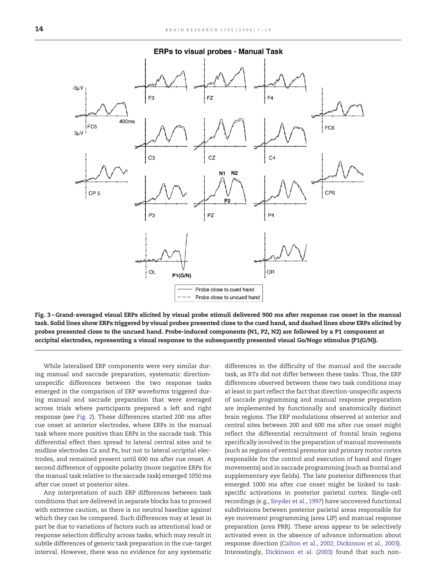

<span id="page-7-0"></span>

Fig. 3 – Grand-averaged visual ERPs elicited by visual probe stimuli delivered 900 ms after response cue onset in the manual task. Solid lines show ERPs triggered by visual probes presented close to the cued hand, and dashed lines show ERPs elicited by probes presented close to the uncued hand. Probe-induced components (N1, P2, N2) are followed by a P1 component at occipital electrodes, representing a visual response to the subsequently presented visual Go/Nogo stimulus (P1(G/N)).

While lateralised ERP components were very similar during manual and saccade preparation, systematic directionunspecific differences between the two response tasks emerged in the comparison of ERP waveforms triggered during manual and saccade preparation that were averaged across trials where participants prepared a left and right response (see [Fig. 2](#page-6-0)). These differences started 200 ms after cue onset at anterior electrodes, where ERPs in the manual task where more positive than ERPs in the saccade task. This differential effect then spread to lateral central sites and to midline electrodes Cz and Pz, but not to lateral occipital electrodes, and remained present until 600 ms after cue onset. A second difference of opposite polarity (more negative ERPs for the manual task relative to the saccade task) emerged 1050 ms after cue onset at posterior sites.

Any interpretation of such ERP differences between task conditions that are delivered in separate blocks has to proceed with extreme caution, as there is no neutral baseline against which they can be compared. Such differences may at least in part be due to variations of factors such as attentional load or response selection difficulty across tasks, which may result in subtle differences of generic task preparation in the cue-target interval. However, there was no evidence for any systematic

differences in the difficulty of the manual and the saccade task, as RTs did not differ between these tasks. Thus, the ERP differences observed between these two task conditions may at least in part reflect the fact that direction-unspecific aspects of saccade programming and manual response preparation are implemented by functionally and anatomically distinct brain regions. The ERP modulations observed at anterior and central sites between 200 and 600 ms after cue onset might reflect the differential recruitment of frontal brain regions specifically involved in the preparation of manual movements (such as regions of ventral premotor and primary motor cortex responsible for the control and execution of hand and finger movements) and in saccade programming (such as frontal and supplementary eye fields). The late posterior differences that emerged 1000 ms after cue onset might be linked to taskspecific activations in posterior parietal cortex. Single-cell recordings (e.g., [Snyder et al., 1997\)](#page-12-0) have uncovered functional subdivisions between posterior parietal areas responsible for eye movement programming (area LIP) and manual response preparation (area PRR). These areas appear to be selectively activated even in the absence of advance information about response direction ([Calton et al., 2002; Dickinson et al., 2003\)](#page-11-0). Interestingly, [Dickinson et al. \(2003\)](#page-11-0) found that such non-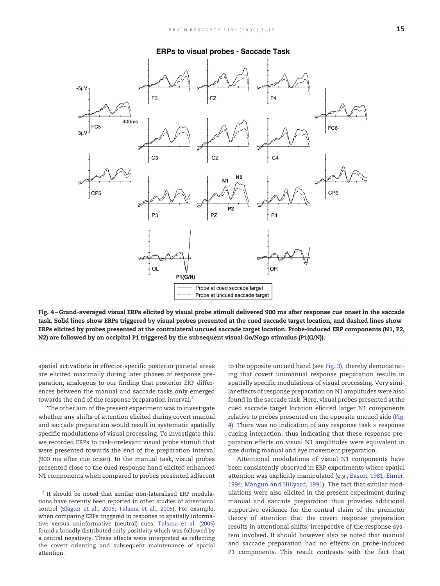

<span id="page-8-0"></span>

Fig. 4 – Grand-averaged visual ERPs elicited by visual probe stimuli delivered 900 ms after response cue onset in the saccade task. Solid lines show ERPs triggered by visual probes presented at the cued saccade target location, and dashed lines show ERPs elicited by probes presented at the contralateral uncued saccade target location. Probe-induced ERP components (N1, P2, N2) are followed by an occipital P1 triggered by the subsequent visual Go/Nogo stimulus (P1(G/N)).

spatial activations in effector-specific posterior parietal areas are elicited maximally during later phases of response preparation, analogous to our finding that posterior ERP differences between the manual and saccade tasks only emerged towards the end of the response preparation interval.<sup>7</sup>

The other aim of the present experiment was to investigate whether any shifts of attention elicited during covert manual and saccade preparation would result in systematic spatially specific modulations of visual processing. To investigate this, we recorded ERPs to task-irrelevant visual probe stimuli that were presented towards the end of the preparation interval (900 ms after cue onset). In the manual task, visual probes presented close to the cued response hand elicited enhanced N1 components when compared to probes presented adjacent

to the opposite uncued hand (see [Fig. 3\)](#page-7-0), thereby demonstrating that covert unimanual response preparation results in spatially specific modulations of visual processing. Very similar effects of response preparation on N1 amplitudes were also found in the saccade task. Here, visual probes presented at the cued saccade target location elicited larger N1 components relative to probes presented on the opposite uncued side (Fig. 4). There was no indication of any response task  $\times$  response cueing interaction, thus indicating that these response preparation effects on visual N1 amplitudes were equivalent in size during manual and eye movement preparation.

Attentional modulations of visual N1 components have been consistently observed in ERP experiments where spatial attention was explicitly manipulated (e.g., [Eason, 1981; Eimer,](#page-11-0) [1994; Mangun and Hillyard, 1991\)](#page-11-0). The fact that similar modulations were also elicited in the present experiment during manual and saccade preparation thus provides additional supportive evidence for the central claim of the premotor theory of attention that the covert response preparation results in attentional shifts, irrespective of the response system involved. It should however also be noted that manual and saccade preparation had no effects on probe-induced P1 components. This result contrasts with the fact that

 $<sup>7</sup>$  It should be noted that similar non-lateralised ERP modula-</sup> tions have recently been reported in other studies of attentional control [\(Slagter et al., 2005; Talsma et al., 2005\)](#page-12-0). For example, when comparing ERPs triggered in response to spatially informative versus uninformative (neutral) cues, [Talsma et al. \(2005\)](#page-12-0) found a broadly distributed early positivity which was followed by a central negativity. These effects were interpreted as reflecting the covert orienting and subsequent maintenance of spatial attention.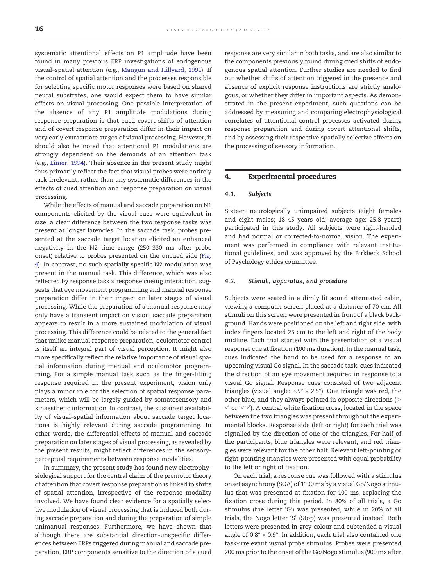systematic attentional effects on P1 amplitude have been found in many previous ERP investigations of endogenous visual–spatial attention (e.g., [Mangun and Hillyard, 1991\)](#page-12-0). If the control of spatial attention and the processes responsible for selecting specific motor responses were based on shared neural substrates, one would expect them to have similar effects on visual processing. One possible interpretation of the absence of any P1 amplitude modulations during response preparation is that cued covert shifts of attention and of covert response preparation differ in their impact on very early extrastriate stages of visual processing. However, it should also be noted that attentional P1 modulations are strongly dependent on the demands of an attention task (e.g., [Eimer, 1994](#page-11-0)). Their absence in the present study might thus primarily reflect the fact that visual probes were entirely task-irrelevant, rather than any systematic differences in the effects of cued attention and response preparation on visual processing.

While the effects of manual and saccade preparation on N1 components elicited by the visual cues were equivalent in size, a clear difference between the two response tasks was present at longer latencies. In the saccade task, probes presented at the saccade target location elicited an enhanced negativity in the N2 time range (250–330 ms after probe onset) relative to probes presented on the uncued side ([Fig.](#page-8-0) [4\)](#page-8-0). In contrast, no such spatially specific N2 modulation was present in the manual task. This difference, which was also reflected by response task × response cueing interaction, suggests that eye movement programming and manual response preparation differ in their impact on later stages of visual processing. While the preparation of a manual response may only have a transient impact on vision, saccade preparation appears to result in a more sustained modulation of visual processing. This difference could be related to the general fact that unlike manual response preparation, oculomotor control is itself an integral part of visual perception. It might also more specifically reflect the relative importance of visual spatial information during manual and oculomotor programming. For a simple manual task such as the finger-lifting response required in the present experiment, vision only plays a minor role for the selection of spatial response parameters, which will be largely guided by somatosensory and kinaesthetic information. In contrast, the sustained availability of visual–spatial information about saccade target locations is highly relevant during saccade programming. In other words, the differential effects of manual and saccade preparation on later stages of visual processing, as revealed by the present results, might reflect differences in the sensoryperceptual requirements between response modalities.

In summary, the present study has found new electrophysiological support for the central claim of the premotor theory of attention that covert response preparation is linked to shifts of spatial attention, irrespective of the response modality involved. We have found clear evidence for a spatially selective modulation of visual processing that is induced both during saccade preparation and during the preparation of simple unimanual responses. Furthermore, we have shown that although there are substantial direction-unspecific differences between ERPs triggered during manual and saccade preparation, ERP components sensitive to the direction of a cued

response are very similar in both tasks, and are also similar to the components previously found during cued shifts of endogenous spatial attention. Further studies are needed to find out whether shifts of attention triggered in the presence and absence of explicit response instructions are strictly analogous, or whether they differ in important aspects. As demonstrated in the present experiment, such questions can be addressed by measuring and comparing electrophysiological correlates of attentional control processes activated during response preparation and during covert attentional shifts, and by assessing their respective spatially selective effects on the processing of sensory information.

#### 4. Experimental procedures

#### 4.1. Subjects

Sixteen neurologically unimpaired subjects (eight females and eight males; 18–45 years old; average age: 25.8 years) participated in this study. All subjects were right-handed and had normal or corrected-to-normal vision. The experiment was performed in compliance with relevant institutional guidelines, and was approved by the Birkbeck School of Psychology ethics committee.

#### 4.2. Stimuli, apparatus, and procedure

Subjects were seated in a dimly lit sound attenuated cabin, viewing a computer screen placed at a distance of 70 cm. All stimuli on this screen were presented in front of a black background. Hands were positioned on the left and right side, with index fingers located 25 cm to the left and right of the body midline. Each trial started with the presentation of a visual response cue at fixation (100 ms duration). In the manual task, cues indicated the hand to be used for a response to an upcoming visual Go signal. In the saccade task, cues indicated the direction of an eye movement required in response to a visual Go signal. Response cues consisted of two adjacent triangles (visual angle:  $3.5^\circ \times 2.5^\circ$ ). One triangle was red, the other blue, and they always pointed in opposite directions ('>  $\langle$  or  $\langle \rangle$ . A central white fixation cross, located in the space between the two triangles was present throughout the experimental blocks. Response side (left or right) for each trial was signalled by the direction of one of the triangles. For half of the participants, blue triangles were relevant, and red triangles were relevant for the other half. Relevant left-pointing or right-pointing triangles were presented with equal probability to the left or right of fixation.

On each trial, a response cue was followed with a stimulus onset asynchrony (SOA) of 1100 ms by a visual Go/Nogo stimulus that was presented at fixation for 100 ms, replacing the fixation cross during this period. In 80% of all trials, a Go stimulus (the letter 'G') was presented, while in 20% of all trials, the Nogo letter 'S' (Stop) was presented instead. Both letters were presented in grey colour and subtended a visual angle of  $0.8^\circ \times 0.9^\circ$ . In addition, each trial also contained one task-irrelevant visual probe stimulus. Probes were presented 200 ms prior to the onset of the Go/Nogo stimulus (900 ms after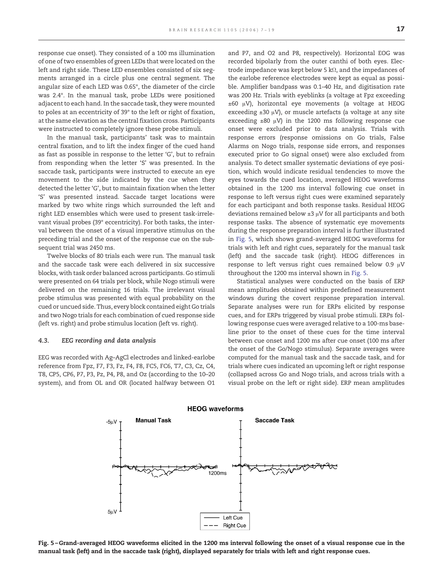response cue onset). They consisted of a 100 ms illumination of one of two ensembles of green LEDs that were located on the left and right side. These LED ensembles consisted of six segments arranged in a circle plus one central segment. The angular size of each LED was 0.65°, the diameter of the circle was 2.4°. In the manual task, probe LEDs were positioned adjacent to each hand. In the saccade task, they were mounted to poles at an eccentricity of 39° to the left or right of fixation, at the same elevation as the central fixation cross. Participants were instructed to completely ignore these probe stimuli.

In the manual task, participants' task was to maintain central fixation, and to lift the index finger of the cued hand as fast as possible in response to the letter 'G', but to refrain from responding when the letter 'S' was presented. In the saccade task, participants were instructed to execute an eye movement to the side indicated by the cue when they detected the letter 'G', but to maintain fixation when the letter 'S' was presented instead. Saccade target locations were marked by two white rings which surrounded the left and right LED ensembles which were used to present task-irrelevant visual probes (39° eccentricity). For both tasks, the interval between the onset of a visual imperative stimulus on the preceding trial and the onset of the response cue on the subsequent trial was 2450 ms.

Twelve blocks of 80 trials each were run. The manual task and the saccade task were each delivered in six successive blocks, with task order balanced across participants. Go stimuli were presented on 64 trials per block, while Nogo stimuli were delivered on the remaining 16 trials. The irrelevant visual probe stimulus was presented with equal probability on the cued or uncued side. Thus, every block contained eight Go trials and two Nogo trials for each combination of cued response side (left vs. right) and probe stimulus location (left vs. right).

#### 4.3. EEG recording and data analysis

EEG was recorded with Ag–AgCl electrodes and linked-earlobe reference from Fpz, F7, F3, Fz, F4, F8, FC5, FC6, T7, C3, Cz, C4, T8, CP5, CP6, P7, P3, Pz, P4, P8, and Oz (according to the 10–20 system), and from OL and OR (located halfway between O1

and P7, and O2 and P8, respectively). Horizontal EOG was recorded bipolarly from the outer canthi of both eyes. Electrode impedance was kept below 5 k $\Omega$ , and the impedances of the earlobe reference electrodes were kept as equal as possible. Amplifier bandpass was 0.1–40 Hz, and digitisation rate was 200 Hz. Trials with eyeblinks (a voltage at Fpz exceeding ±60 μV), horizontal eye movements (a voltage at HEOG exceeding  $\pm 30$   $\mu$ V), or muscle artefacts (a voltage at any site exceeding  $\pm 80$   $\mu$ V) in the 1200 ms following response cue onset were excluded prior to data analysis. Trials with response errors (response omissions on Go trials, False Alarms on Nogo trials, response side errors, and responses executed prior to Go signal onset) were also excluded from analysis. To detect smaller systematic deviations of eye position, which would indicate residual tendencies to move the eyes towards the cued location, averaged HEOG waveforms obtained in the 1200 ms interval following cue onset in response to left versus right cues were examined separately for each participant and both response tasks. Residual HEOG deviations remained below  $\pm 3 \mu V$  for all participants and both response tasks. The absence of systematic eye movements during the response preparation interval is further illustrated in Fig. 5, which shows grand-averaged HEOG waveforms for trials with left and right cues, separately for the manual task (left) and the saccade task (right). HEOG differences in response to left versus right cues remained below 0.9 μV throughout the 1200 ms interval shown in Fig. 5.

Statistical analyses were conducted on the basis of ERP mean amplitudes obtained within predefined measurement windows during the covert response preparation interval. Separate analyses were run for ERPs elicited by response cues, and for ERPs triggered by visual probe stimuli. ERPs following response cues were averaged relative to a 100-ms baseline prior to the onset of these cues for the time interval between cue onset and 1200 ms after cue onset (100 ms after the onset of the Go/Nogo stimulus). Separate averages were computed for the manual task and the saccade task, and for trials where cues indicated an upcoming left or right response (collapsed across Go and Nogo trials, and across trials with a visual probe on the left or right side). ERP mean amplitudes



Fig. 5 – Grand-averaged HEOG waveforms elicited in the 1200 ms interval following the onset of a visual response cue in the manual task (left) and in the saccade task (right), displayed separately for trials with left and right response cues.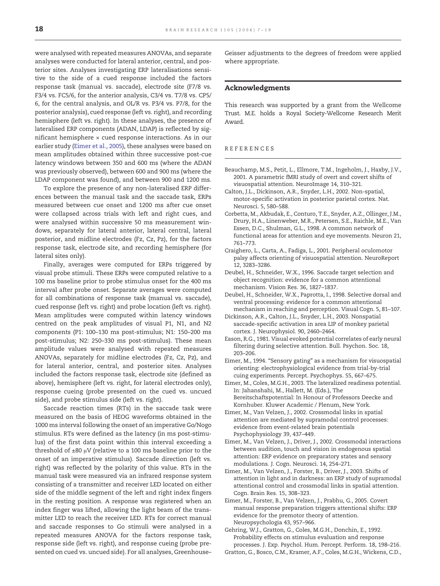<span id="page-11-0"></span>were analysed with repeated measures ANOVAs, and separate analyses were conducted for lateral anterior, central, and posterior sites. Analyses investigating ERP lateralisations sensitive to the side of a cued response included the factors response task (manual vs. saccade), electrode site (F7/8 vs. F3/4 vs. FC5/6, for the anterior analysis, C3/4 vs. T7/8 vs. CP5/ 6, for the central analysis, and OL/R vs. P3/4 vs. P7/8, for the posterior analysis), cued response (left vs. right), and recording hemisphere (left vs. right). In these analyses, the presence of lateralised ERP components (ADAN, LDAP) is reflected by significant hemisphere × cued response interactions. As in our earlier study (Eimer et al., 2005), these analyses were based on mean amplitudes obtained within three successive post-cue latency windows between 350 and 600 ms (where the ADAN was previously observed), between 600 and 900 ms (where the LDAP component was found), and between 900 and 1200 ms.

To explore the presence of any non-lateralised ERP differences between the manual task and the saccade task, ERPs measured between cue onset and 1200 ms after cue onset were collapsed across trials with left and right cues, and were analysed within successive 50 ms measurement windows, separately for lateral anterior, lateral central, lateral posterior, and midline electrodes (Fz, Cz, Pz), for the factors response task, electrode site, and recording hemisphere (for lateral sites only).

Finally, averages were computed for ERPs triggered by visual probe stimuli. These ERPs were computed relative to a 100 ms baseline prior to probe stimulus onset for the 400 ms interval after probe onset. Separate averages were computed for all combinations of response task (manual vs. saccade), cued response (left vs. right) and probe location (left vs. right). Mean amplitudes were computed within latency windows centred on the peak amplitudes of visual P1, N1, and N2 components (P1: 100–130 ms post-stimulus; N1: 150–200 ms post-stimulus; N2: 250–330 ms post-stimulus). These mean amplitude values were analysed with repeated measures ANOVAs, separately for midline electrodes (Fz, Cz, Pz), and for lateral anterior, central, and posterior sites. Analyses included the factors response task, electrode site (defined as above), hemisphere (left vs. right, for lateral electrodes only), response cueing (probe presented on the cued vs. uncued side), and probe stimulus side (left vs. right).

Saccade reaction times (RTs) in the saccade task were measured on the basis of HEOG waveforms obtained in the 1000 ms interval following the onset of an imperative Go/Nogo stimulus. RTs were defined as the latency (in ms post-stimulus) of the first data point within this interval exceeding a threshold of  $\pm 80 \mu V$  (relative to a 100 ms baseline prior to the onset of an imperative stimulus). Saccade direction (left vs. right) was reflected by the polarity of this value. RTs in the manual task were measured via an infrared response system consisting of a transmitter and receiver LED located on either side of the middle segment of the left and right index fingers in the resting position. A response was registered when an index finger was lifted, allowing the light beam of the transmitter LED to reach the receiver LED. RTs for correct manual and saccade responses to Go stimuli were analysed in a repeated measures ANOVA for the factors response task, response side (left vs. right), and response cueing (probe presented on cued vs. uncued side). For all analyses, Greenhouse–

Geisser adjustments to the degrees of freedom were applied where appropriate.

#### Acknowledgments

This research was supported by a grant from the Wellcome Trust. M.E. holds a Royal Society-Wellcome Research Merit Award.

#### REFERENCES

- Beauchamp, M.S., Petit, L., Ellmore, T.M., Ingeholm, J., Haxby, J.V., 2001. A parametric fMRI study of overt and covert shifts of visuospatial attention. NeuroImage 14, 310–321.
- Calton, J.L., Dickinson, A.R., Snyder, L.H., 2002. Non-spatial, motor-specific activation in posterior parietal cortex. Nat. Neurosci. 5, 580–588.
- Corbetta, M., Akbudak, E., Conturo, T.E., Snyder, A.Z., Ollinger, J.M., Drury, H.A., Linenweber, M.R., Petersen, S.E., Raichle, M.E., Van Essen, D.C., Shulman, G.L., 1998. A common network of functional areas for attention and eye movements. Neuron 21, 761–773.
- Craighero, L., Carta, A., Fadiga, L., 2001. Peripheral oculomotor palsy affects orienting of visuospatial attention. NeuroReport 12, 3283–3286.
- Deubel, H., Schneider, W.X., 1996. Saccade target selection and object recognition: evidence for a common attentional mechanism. Vision Res. 36, 1827–1837.
- Deubel, H., Schneider, W.X., Paprotta, I., 1998. Selective dorsal and ventral processing: evidence for a common attentional mechanism in reaching and perception. Visual Cogn. 5, 81–107.
- Dickinson, A.R., Calton, J.L., Snyder, L.H., 2003. Nonspatial saccade-specific activation in area LIP of monkey parietal cortex. J. Neurophysiol. 90, 2460–2464.
- Eason, R.G., 1981. Visual evoked potential correlates of early neural filtering during selective attention. Bull. Psychon. Soc. 18, 203–206.
- Eimer, M., 1994. "Sensory gating" as a mechanism for visuospatial orienting: electrophysiological evidence from trial-by-trial cuing experiments. Percept. Psychophys. 55, 667–675.
- Eimer, M., Coles, M.G.H., 2003. The lateralized readiness potential. In: Jahanshahi, M., Hallett, M. (Eds.), The Bereitschaftspotential: In Honour of Professors Deecke and Kornhuber. Kluwer Academic / Plenum, New York.
- Eimer, M., Van Velzen, J., 2002. Crossmodal links in spatial attention are mediated by supramodal control processes: evidence from event-related brain potentials Psychophysiology 39, 437–449.
- Eimer, M., Van Velzen, J., Driver, J., 2002. Crossmodal interactions between audition, touch and vision in endogenous spatial attention: ERP evidence on preparatory states and sensory modulations. J. Cogn. Neurosci. 14, 254–271.
- Eimer, M., Van Velzen, J., Forster, B., Driver, J., 2003. Shifts of attention in light and in darkness: an ERP study of supramodal attentional control and crossmodal links in spatial attention. Cogn. Brain Res. 15, 308–323.
- Eimer, M., Forster, B., Van Velzen, J., Prabhu, G., 2005. Covert manual response preparation triggers attentional shifts: ERP evidence for the premotor theory of attention. Neuropsychologia 43, 957–966.
- Gehring, W.J., Gratton, G., Coles, M.G.H., Donchin, E., 1992. Probability effects on stimulus evaluation and response processes. J. Exp. Psychol. Hum. Percept. Perform. 18, 198–216. Gratton, G., Bosco, C.M., Kramer, A.F., Coles, M.G.H., Wickens, C.D.,